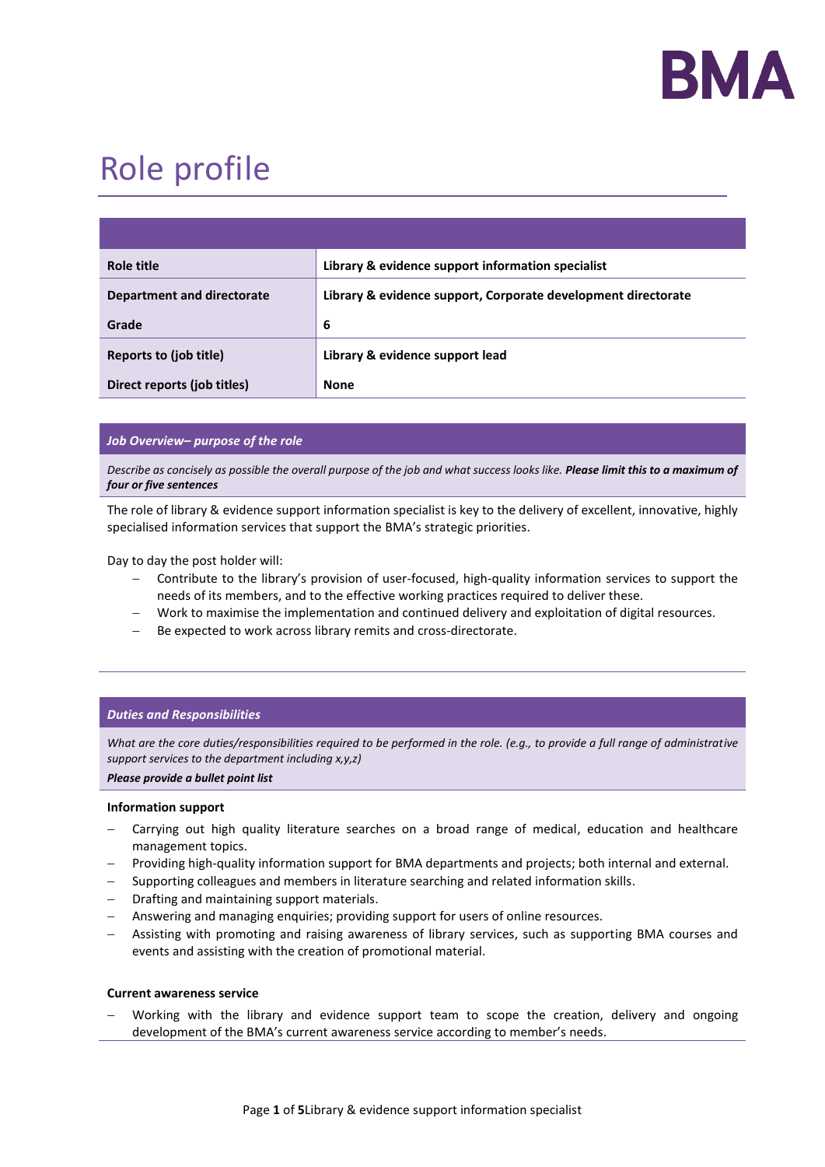

# Role profile

| Role title                  | Library & evidence support information specialist             |
|-----------------------------|---------------------------------------------------------------|
| Department and directorate  | Library & evidence support, Corporate development directorate |
| Grade                       | 6                                                             |
| Reports to (job title)      | Library & evidence support lead                               |
| Direct reports (job titles) | <b>None</b>                                                   |

## *Job Overview– purpose of the role*

*Describe as concisely as possible the overall purpose of the job and what success looks like. Please limit this to a maximum of four or five sentences*

The role of library & evidence support information specialist is key to the delivery of excellent, innovative, highly specialised information services that support the BMA's strategic priorities.

Day to day the post holder will:

- − Contribute to the library's provision of user-focused, high-quality information services to support the needs of its members, and to the effective working practices required to deliver these.
- Work to maximise the implementation and continued delivery and exploitation of digital resources.
- Be expected to work across library remits and cross-directorate.

## *Duties and Responsibilities*

*What are the core duties/responsibilities required to be performed in the role. (e.g., to provide a full range of administrative support services to the department including x,y,z)* 

*Please provide a bullet point list*

#### **Information support**

- Carrying out high quality literature searches on a broad range of medical, education and healthcare management topics.
- − Providing high-quality information support for BMA departments and projects; both internal and external.
- − Supporting colleagues and members in literature searching and related information skills.
- − Drafting and maintaining support materials.
- − Answering and managing enquiries; providing support for users of online resources.
- − Assisting with promoting and raising awareness of library services, such as supporting BMA courses and events and assisting with the creation of promotional material.

## **Current awareness service**

Working with the library and evidence support team to scope the creation, delivery and ongoing development of the BMA's current awareness service according to member's needs.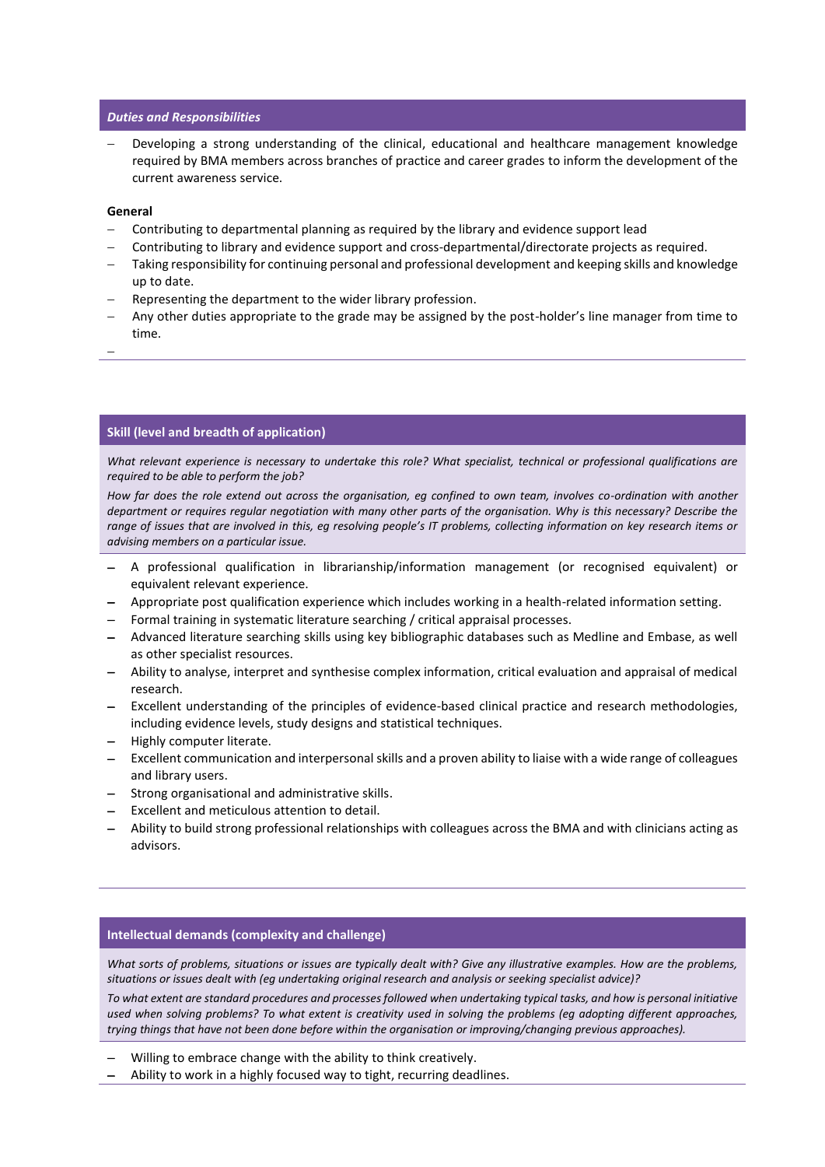## *Duties and Responsibilities*

Developing a strong understanding of the clinical, educational and healthcare management knowledge required by BMA members across branches of practice and career grades to inform the development of the current awareness service.

## **General**

- − Contributing to departmental planning as required by the library and evidence support lead
- − Contributing to library and evidence support and cross-departmental/directorate projects as required.
- − Taking responsibility for continuing personal and professional development and keeping skills and knowledge up to date.
- Representing the department to the wider library profession.
- Any other duties appropriate to the grade may be assigned by the post-holder's line manager from time to time.
- −

## **Skill (level and breadth of application)**

*What relevant experience is necessary to undertake this role? What specialist, technical or professional qualifications are required to be able to perform the job?*

*How far does the role extend out across the organisation, eg confined to own team, involves co-ordination with another department or requires regular negotiation with many other parts of the organisation. Why is this necessary? Describe the range of issues that are involved in this, eg resolving people's IT problems, collecting information on key research items or advising members on a particular issue.*

- − A professional qualification in librarianship/information management (or recognised equivalent) or equivalent relevant experience.
- − Appropriate post qualification experience which includes working in a health-related information setting.
- − Formal training in systematic literature searching / critical appraisal processes.
- − Advanced literature searching skills using key bibliographic databases such as Medline and Embase, as well as other specialist resources.
- − Ability to analyse, interpret and synthesise complex information, critical evaluation and appraisal of medical research.
- Excellent understanding of the principles of evidence-based clinical practice and research methodologies, including evidence levels, study designs and statistical techniques.
- − Highly computer literate.
- − Excellent communication and interpersonal skills and a proven ability to liaise with a wide range of colleagues and library users.
- − Strong organisational and administrative skills.
- − Excellent and meticulous attention to detail.
- − Ability to build strong professional relationships with colleagues across the BMA and with clinicians acting as advisors.

## **Intellectual demands (complexity and challenge)**

*What sorts of problems, situations or issues are typically dealt with? Give any illustrative examples. How are the problems, situations or issues dealt with (eg undertaking original research and analysis or seeking specialist advice)?*

*To what extent are standard procedures and processes followed when undertaking typical tasks, and how is personal initiative used when solving problems? To what extent is creativity used in solving the problems (eg adopting different approaches, trying things that have not been done before within the organisation or improving/changing previous approaches).*

- − Willing to embrace change with the ability to think creatively.
- − Ability to work in a highly focused way to tight, recurring deadlines.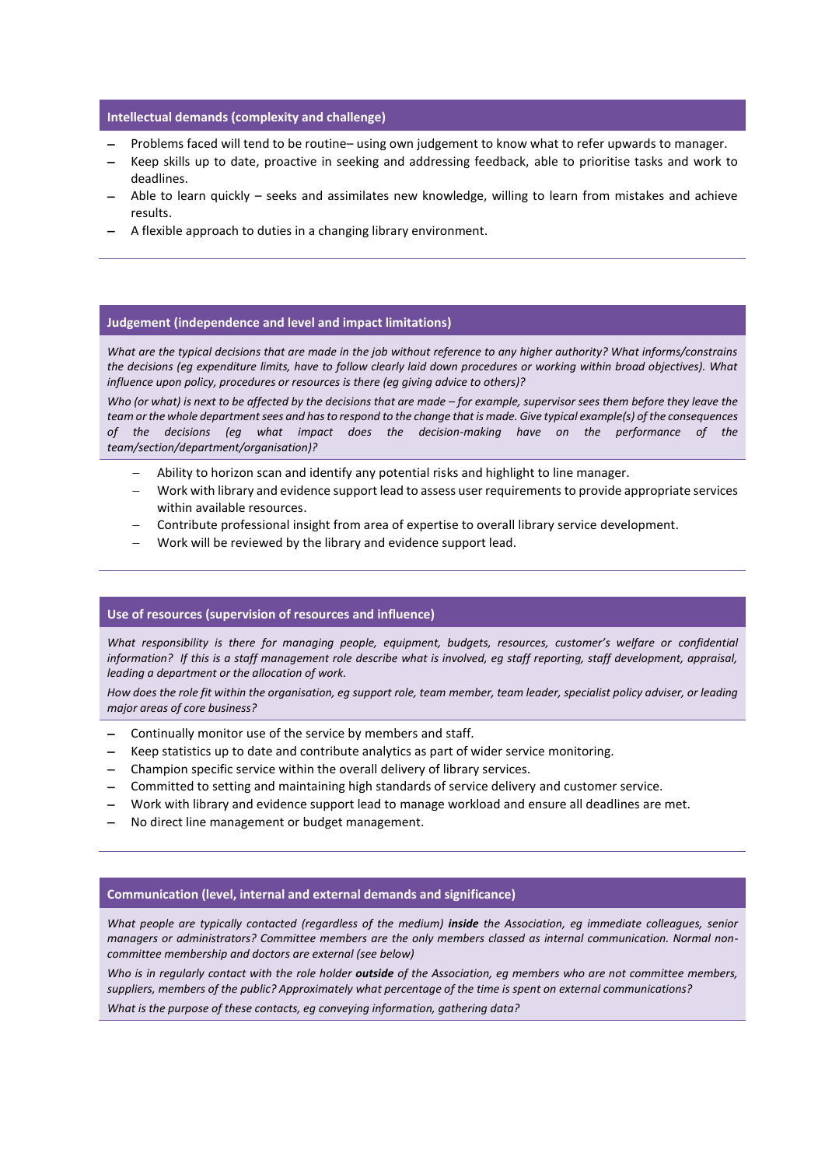## **Intellectual demands (complexity and challenge)**

- − Problems faced will tend to be routine– using own judgement to know what to refer upwards to manager.
- − Keep skills up to date, proactive in seeking and addressing feedback, able to prioritise tasks and work to deadlines.
- Able to learn quickly seeks and assimilates new knowledge, willing to learn from mistakes and achieve results.
- A flexible approach to duties in a changing library environment.

#### **Judgement (independence and level and impact limitations)**

*What are the typical decisions that are made in the job without reference to any higher authority? What informs/constrains the decisions (eg expenditure limits, have to follow clearly laid down procedures or working within broad objectives). What influence upon policy, procedures or resources is there (eg giving advice to others)?* 

*Who (or what) is next to be affected by the decisions that are made – for example, supervisor sees them before they leave the team or the whole department sees and has to respond to the change that is made. Give typical example(s) of the consequences*  what impact does the decision-making have on the performance of the *team/section/department/organisation)?*

- − Ability to horizon scan and identify any potential risks and highlight to line manager.
- − Work with library and evidence support lead to assess user requirements to provide appropriate services within available resources.
- − Contribute professional insight from area of expertise to overall library service development.
- − Work will be reviewed by the library and evidence support lead.

#### **Use of resources (supervision of resources and influence)**

*What responsibility is there for managing people, equipment, budgets, resources, customer's welfare or confidential information? If this is a staff management role describe what is involved, eg staff reporting, staff development, appraisal, leading a department or the allocation of work.*

*How does the role fit within the organisation, eg support role, team member, team leader, specialist policy adviser, or leading major areas of core business?*

- − Continually monitor use of the service by members and staff.
- Keep statistics up to date and contribute analytics as part of wider service monitoring.
- − Champion specific service within the overall delivery of library services.
- − Committed to setting and maintaining high standards of service delivery and customer service.
- − Work with library and evidence support lead to manage workload and ensure all deadlines are met.
- − No direct line management or budget management.

## **Communication (level, internal and external demands and significance)**

*What people are typically contacted (regardless of the medium) inside the Association, eg immediate colleagues, senior managers or administrators? Committee members are the only members classed as internal communication. Normal noncommittee membership and doctors are external (see below)*

*Who is in regularly contact with the role holder outside of the Association, eg members who are not committee members, suppliers, members of the public? Approximately what percentage of the time is spent on external communications?*

*What is the purpose of these contacts, eg conveying information, gathering data?*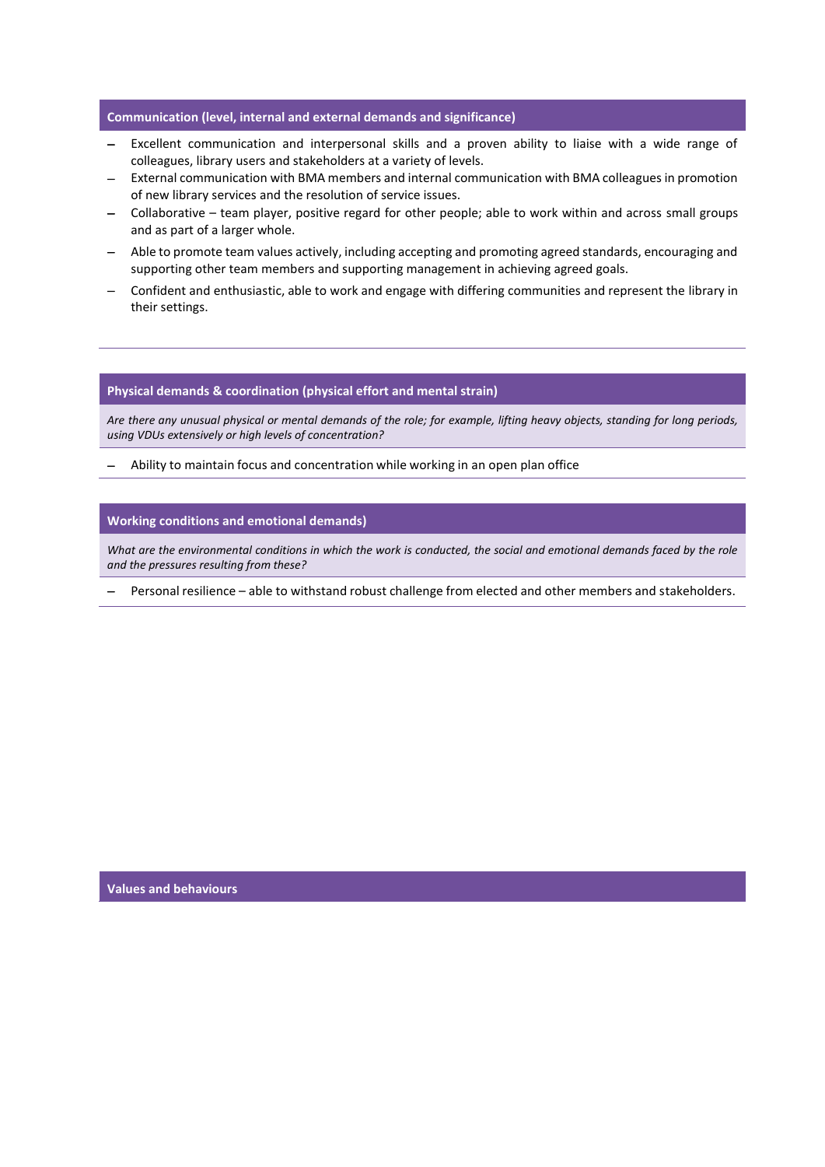## **Communication (level, internal and external demands and significance)**

- − Excellent communication and interpersonal skills and a proven ability to liaise with a wide range of colleagues, library users and stakeholders at a variety of levels.
- External communication with BMA members and internal communication with BMA colleagues in promotion of new library services and the resolution of service issues.
- − Collaborative team player, positive regard for other people; able to work within and across small groups and as part of a larger whole.
- − Able to promote team values actively, including accepting and promoting agreed standards, encouraging and supporting other team members and supporting management in achieving agreed goals.
- − Confident and enthusiastic, able to work and engage with differing communities and represent the library in their settings.

#### **Physical demands & coordination (physical effort and mental strain)**

*Are there any unusual physical or mental demands of the role; for example, lifting heavy objects, standing for long periods, using VDUs extensively or high levels of concentration?*

− Ability to maintain focus and concentration while working in an open plan office

#### **Working conditions and emotional demands)**

*What are the environmental conditions in which the work is conducted, the social and emotional demands faced by the role and the pressures resulting from these?*

− Personal resilience – able to withstand robust challenge from elected and other members and stakeholders.

**Values and behaviours**